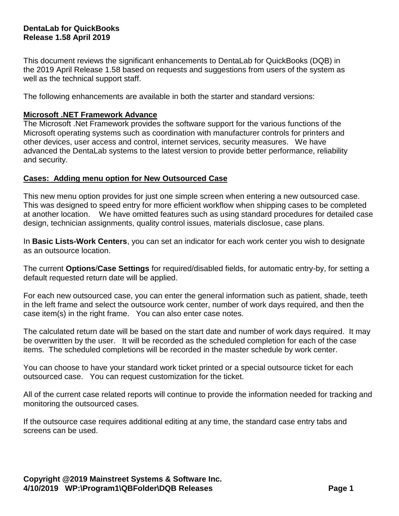# **DentaLab for QuickBooks Release 1.58 April 2019**

This document reviews the significant enhancements to DentaLab for QuickBooks (DQB) in the 2019 April Release 1.58 based on requests and suggestions from users of the system as well as the technical support staff.

The following enhancements are available in both the starter and standard versions:

## **Microsoft .NET Framework Advance**

The Microsoft .Net Framework provides the software support for the various functions of the Microsoft operating systems such as coordination with manufacturer controls for printers and other devices, user access and control, internet services, security measures. We have advanced the DentaLab systems to the latest version to provide better performance, reliability and security.

#### **Cases: Adding menu option for New Outsourced Case**

This new menu option provides for just one simple screen when entering a new outsourced case. This was designed to speed entry for more efficient workflow when shipping cases to be completed at another location. We have omitted features such as using standard procedures for detailed case design, technician assignments, quality control issues, materials disclosue, case plans.

In **Basic Lists-Work Centers**, you can set an indicator for each work center you wish to designate as an outsource location.

The current **Options**/**Case Settings** for required/disabled fields, for automatic entry-by, for setting a default requested return date will be applied.

For each new outsourced case, you can enter the general information such as patient, shade, teeth in the left frame and select the outsource work center, number of work days required, and then the case item(s) in the right frame. You can also enter case notes.

The calculated return date will be based on the start date and number of work days required. It may be overwritten by the user. It will be recorded as the scheduled completion for each of the case items. The scheduled completions will be recorded in the master schedule by work center.

You can choose to have your standard work ticket printed or a special outsource ticket for each outsourced case. You can request customization for the ticket.

All of the current case related reports will continue to provide the information needed for tracking and monitoring the outsourced cases.

If the outsource case requires additional editing at any time, the standard case entry tabs and screens can be used.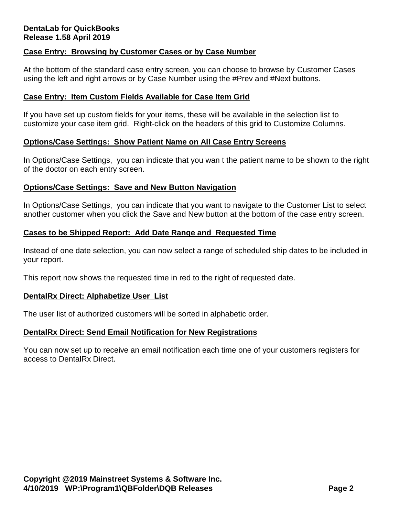# **DentaLab for QuickBooks Release 1.58 April 2019**

# **Case Entry: Browsing by Customer Cases or by Case Number**

At the bottom of the standard case entry screen, you can choose to browse by Customer Cases using the left and right arrows or by Case Number using the #Prev and #Next buttons.

#### **Case Entry: Item Custom Fields Available for Case Item Grid**

If you have set up custom fields for your items, these will be available in the selection list to customize your case item grid. Right-click on the headers of this grid to Customize Columns.

## **Options/Case Settings: Show Patient Name on All Case Entry Screens**

In Options/Case Settings, you can indicate that you wan t the patient name to be shown to the right of the doctor on each entry screen.

## **Options/Case Settings: Save and New Button Navigation**

In Options/Case Settings, you can indicate that you want to navigate to the Customer List to select another customer when you click the Save and New button at the bottom of the case entry screen.

## **Cases to be Shipped Report: Add Date Range and Requested Time**

Instead of one date selection, you can now select a range of scheduled ship dates to be included in your report.

This report now shows the requested time in red to the right of requested date.

#### **DentalRx Direct: Alphabetize User List**

The user list of authorized customers will be sorted in alphabetic order.

#### **DentalRx Direct: Send Email Notification for New Registrations**

You can now set up to receive an email notification each time one of your customers registers for access to DentalRx Direct.